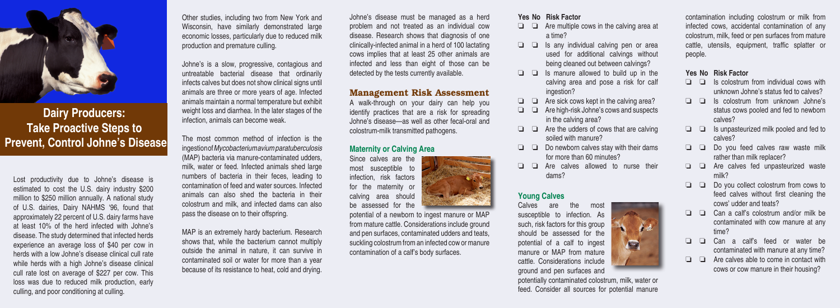

**Dairy Producers: Take Proactive Steps to Prevent, Control Johne's Disease**

Lost productivity due to Johne's disease is estimated to cost the U.S. dairy industry \$200 million to \$250 million annually. A national study of U.S. dairies, Dairy NAHMS '96, found that approximately 22 percent of U.S. dairy farms have at least 10% of the herd infected with Johne's disease. The study determined that infected herds experience an average loss of \$40 per cow in herds with a low Johne's disease clinical cull rate while herds with a high Johne's disease clinical cull rate lost on average of \$227 per cow. This loss was due to reduced milk production, early culling, and poor conditioning at culling.

Other studies, including two from New York and Wisconsin, have similarly demonstrated large economic losses, particularly due to reduced milk production and premature culling.

Johne's is a slow, progressive, contagious and untreatable bacterial disease that ordinarily infects calves but does not show clinical signs until animals are three or more years of age. Infected animals maintain a normal temperature but exhibit weight loss and diarrhea. In the later stages of the infection, animals can become weak.

The most common method of infection is the ingestion of *Mycobacterium avium paratuberculosis* (MAP) bacteria via manure-contaminated udders, milk, water or feed. Infected animals shed large numbers of bacteria in their feces, leading to contamination of feed and water sources. Infected animals can also shed the bacteria in their colostrum and milk, and infected dams can also pass the disease on to their offspring.

MAP is an extremely hardy bacterium. Research shows that, while the bacterium cannot multiply outside the animal in nature, it can survive in contaminated soil or water for more than a year because of its resistance to heat, cold and drying.

Johne's disease must be managed as a herd problem and not treated as an individual cow disease. Research shows that diagnosis of one clinically-infected animal in a herd of 100 lactating cows implies that at least 25 other animals are infected and less than eight of those can be detected by the tests currently available.

### Management Risk Assessment

A walk-through on your dairy can help you identify practices that are a risk for spreading Johne's disease—as well as other fecal-oral and colostrum-milk transmitted pathogens.

## **Maternity or Calving Area**

Since calves are the most susceptible to infection, risk factors for the maternity or calving area should be assessed for the



potential of a newborn to ingest manure or MAP from mature cattle. Considerations include ground and pen surfaces, contaminated udders and teats, suckling colostrum from an infected cow or manure contamination of a calf's body surfaces.

#### **Yes No Risk Factor**

- $\Box$   $\Box$  Are multiple cows in the calving area at a time?
- $\Box$   $\Box$  Is any individual calving pen or area used for additional calvings without being cleaned out between calvings?
- $\Box$   $\Box$  Is manure allowed to build up in the calving area and pose a risk for calf ingestion?
- $\Box$   $\Box$  Are sick cows kept in the calving area?
- $\Box$   $\Box$  Are high-risk Johne's cows and suspects in the calving area?
- $\Box$   $\Box$  Are the udders of cows that are calving soiled with manure?
- $\Box$   $\Box$  Do newborn calves stay with their dams for more than 60 minutes?
- $\Box$   $\Box$  Are calves allowed to nurse their dams?

### **Young Calves**

Calves are the most susceptible to infection. As such, risk factors for this group should be assessed for the potential of a calf to ingest manure or MAP from mature cattle. Considerations include ground and pen surfaces and

potentially contaminated colostrum, milk, water or feed. Consider all sources for potential manure

 $\mathbb{R}$ 

contamination including colostrum or milk from infected cows, accidental contamination of any colostrum, milk, feed or pen surfaces from mature cattle, utensils, equipment, traffic splatter or people.

#### **Yes No Risk Factor**

- $\Box$   $\Box$  Is colostrum from individual cows with unknown Johne's status fed to calves?
- $\Box$   $\Box$  Is colostrum from unknown Johne's status cows pooled and fed to newborn calves?
- $\Box$   $\Box$  Is unpasteurized milk pooled and fed to calves?
- $\Box$   $\Box$  Do you feed calves raw waste milk rather than milk replacer?
- $\Box$   $\Box$  Are calves fed unpasteurized waste milk?
- $\Box$   $\Box$  Do you collect colostrum from cows to feed calves without first cleaning the cows' udder and teats?
- $\Box$   $\Box$  Can a calf's colostrum and/or milk be contaminated with cow manure at any time?
- $\Box$   $\Box$  Can a calf's feed or water be contaminated with manure at any time?
- $\Box$   $\Box$  Are calves able to come in contact with cows or cow manure in their housing?